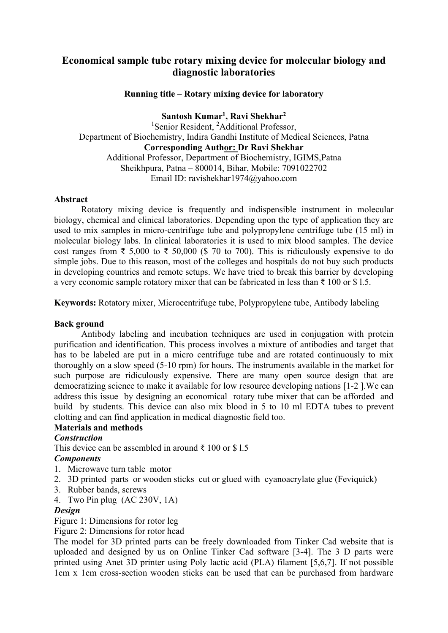# **Economical sample tube rotary mixing device for molecular biology and diagnostic laboratories**

## **Running title – Rotary mixing device for laboratory**

**Santosh Kumar1, Ravi Shekhar2**

<sup>1</sup>Senior Resident, <sup>2</sup>Additional Professor, Department of Biochemistry, Indira Gandhi Institute of Medical Sciences, Patna **Corresponding Author: Dr Ravi Shekhar** Additional Professor, Department of Biochemistry, IGIMS,Patna Sheikhpura, Patna – 800014, Bihar, Mobile: 7091022702 Email ID: ravishekhar1974@yahoo.com

#### **Abstract**

Rotatory mixing device is frequently and indispensible instrument in molecular biology, chemical and clinical laboratories. Depending upon the type of application they are used to mix samples in micro-centrifuge tube and polypropylene centrifuge tube (15 ml) in molecular biology labs. In clinical laboratories it is used to mix blood samples. The device cost ranges from ₹ 5,000 to ₹ 50,000 (\$ 70 to 700). This is ridiculously expensive to do simple jobs. Due to this reason, most of the colleges and hospitals do not buy such products in developing countries and remote setups. We have tried to break this barrier by developing a very economic sample rotatory mixer that can be fabricated in less than ₹ 100 or \$ l.5.

**Keywords:** Rotatory mixer, Microcentrifuge tube, Polypropylene tube, Antibody labeling

#### **Back ground**

Antibody labeling and incubation techniques are used in conjugation with protein purification and identification. This process involves a mixture of antibodies and target that has to be labeled are put in a micro centrifuge tube and are rotated continuously to mix thoroughly on a slow speed (5-10 rpm) for hours. The instruments available in the market for such purpose are ridiculously expensive. There are many open source design that are democratizing science to make it available for low resource developing nations [1-2 ].We can address this issue by designing an economical rotary tube mixer that can be afforded and build by students. This device can also mix blood in 5 to 10 ml EDTA tubes to prevent clotting and can find application in medical diagnostic field too.

## **Materials and methods**

#### *Construction*

This device can be assembled in around  $\bar{\tau}$  100 or \$1.5

#### *Components*

- 1. Microwave turn table motor
- 2. 3D printed parts or wooden sticks cut or glued with cyanoacrylate glue (Feviquick)
- 3. Rubber bands, screws
- 4. Two Pin plug (AC 230V, 1A)

#### *Design*

Figure 1: Dimensions for rotor leg

Figure 2: Dimensions for rotor head

The model for 3D printed parts can be freely downloaded from Tinker Cad website that is uploaded and designed by us on Online Tinker Cad software [3-4]. The 3 D parts were printed using Anet 3D printer using Poly lactic acid (PLA) filament [5,6,7]. If not possible 1cm x 1cm cross-section wooden sticks can be used that can be purchased from hardware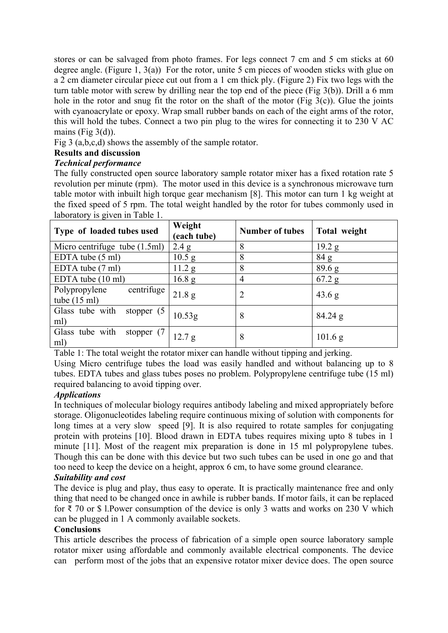stores or can be salvaged from photo frames. For legs connect 7 cm and 5 cm sticks at 60 degree angle. (Figure 1, 3(a)) For the rotor, unite 5 cm pieces of wooden sticks with glue on a 2 cm diameter circular piece cut out from a 1 cm thick ply. (Figure 2) Fix two legs with the turn table motor with screw by drilling near the top end of the piece (Fig 3(b)). Drill a 6 mm hole in the rotor and snug fit the rotor on the shaft of the motor (Fig  $3(c)$ ). Glue the joints with cyanoacrylate or epoxy. Wrap small rubber bands on each of the eight arms of the rotor, this will hold the tubes. Connect a two pin plug to the wires for connecting it to 230 V AC mains (Fig  $3(d)$ ).

Fig 3 (a,b,c,d) shows the assembly of the sample rotator.

## **Results and discussion**

## *Technical performance*

The fully constructed open source laboratory sample rotator mixer has a fixed rotation rate 5 revolution per minute (rpm). The motor used in this device is a synchronous microwave turn table motor with inbuilt high torque gear mechanism [8]. This motor can turn 1 kg weight at the fixed speed of 5 rpm. The total weight handled by the rotor for tubes commonly used in laboratory is given in Table 1.

| Type of loaded tubes used                               | Weight<br>(each tube) | <b>Number of tubes</b> | Total weight    |
|---------------------------------------------------------|-----------------------|------------------------|-----------------|
| Micro centrifuge tube (1.5ml)                           | 2.4 g                 | 8                      | 19.2 g          |
| EDTA tube (5 ml)                                        | $10.5$ g              | 8                      | 84 g            |
| EDTA tube (7 ml)                                        | 11.2 g                | 8                      | $89.6\text{ g}$ |
| EDTA tube $(10 \text{ ml})$                             | $16.8\text{ g}$       | 4                      | $67.2$ g        |
| centrifuge  <br>Polypropylene<br>tube $(15 \text{ ml})$ | 21.8 g                | $\overline{2}$         | 43.6 g          |
| Glass tube with<br>stopper $(5)$<br>ml)                 | 10.53g                | 8                      | $84.24$ g       |
| Glass tube with<br>stopper $(7)$<br>ml)                 | 12.7 g                | 8                      | 101.6 g         |

Table 1: The total weight the rotator mixer can handle without tipping and jerking.

Using Micro centrifuge tubes the load was easily handled and without balancing up to 8 tubes. EDTA tubes and glass tubes poses no problem. Polypropylene centrifuge tube (15 ml) required balancing to avoid tipping over.

## *Applications*

In techniques of molecular biology requires antibody labeling and mixed appropriately before storage. Oligonucleotides labeling require continuous mixing of solution with components for long times at a very slow speed [9]. It is also required to rotate samples for conjugating protein with proteins [10]. Blood drawn in EDTA tubes requires mixing upto 8 tubes in 1 minute [11]. Most of the reagent mix preparation is done in 15 ml polypropylene tubes. Though this can be done with this device but two such tubes can be used in one go and that too need to keep the device on a height, approx 6 cm, to have some ground clearance.

## *Suitability and cost*

The device is plug and play, thus easy to operate. It is practically maintenance free and only thing that need to be changed once in awhile is rubber bands. If motor fails, it can be replaced for ₹ 70 or \$ l.Power consumption of the device is only 3 watts and works on 230 V which can be plugged in 1 A commonly available sockets.

## **Conclusions**

This article describes the process of fabrication of a simple open source laboratory sample rotator mixer using affordable and commonly available electrical components. The device can perform most of the jobs that an expensive rotator mixer device does. The open source